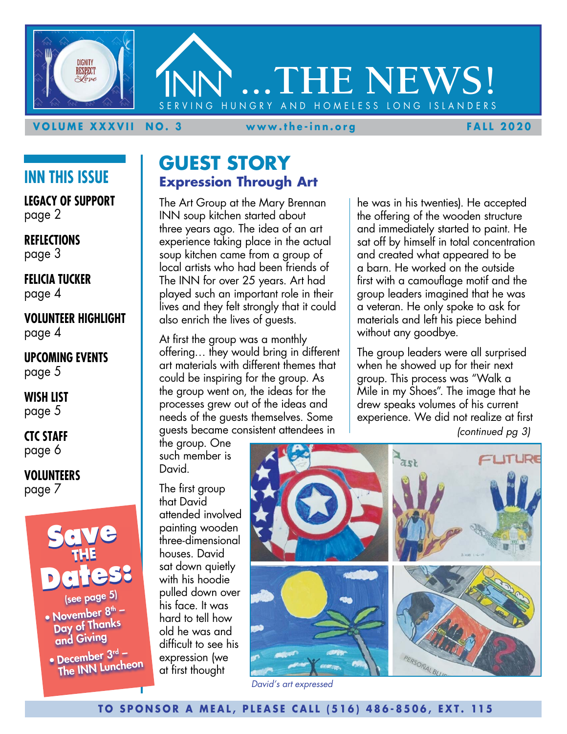

#### **VOLUME XXXVII NO. 3 www.the-inn.org FALL 2020**

# **INN THIS ISSUE**

**LEGACY OF SUPPORT** page 2

**REFLECTIONS** page 3

**FELICIA TUCKER** page 4

**VOLUNTEER HIGHLIGHT** page 4

#### **UPCOMING EVENTS** page 5

**WISH LIST** page 5

#### **CTC STAFF** page 6

#### **VOLUNTEERS** page 7



• December  $3<sup>rd</sup>$  – The INN Luncheon

# **GUEST STORY Expression Through Art**

The Art Group at the Mary Brennan INN soup kitchen started about three years ago. The idea of an art experience taking place in the actual soup kitchen came from a group of local artists who had been friends of The INN for over 25 years. Art had played such an important role in their lives and they felt strongly that it could also enrich the lives of guests.

At first the group was a monthly offering… they would bring in different art materials with different themes that could be inspiring for the group. As the group went on, the ideas for the processes grew out of the ideas and needs of the guests themselves. Some guests became consistent attendees in

the group. One such member is David.

The first group that David attended involved painting wooden three-dimensional houses. David sat down quietly with his hoodie pulled down over his face. It was hard to tell how old he was and difficult to see his expression (we at first thought



*David's art expressed*

he was in his twenties). He accepted the offering of the wooden structure and immediately started to paint. He sat off by himself in total concentration and created what appeared to be a barn. He worked on the outside first with a camouflage motif and the group leaders imagined that he was a veteran. He only spoke to ask for materials and left his piece behind without any goodbye.

The group leaders were all surprised when he showed up for their next group. This process was "Walk a Mile in my Shoes". The image that he drew speaks volumes of his current experience. We did not realize at first *(continued pg 3)*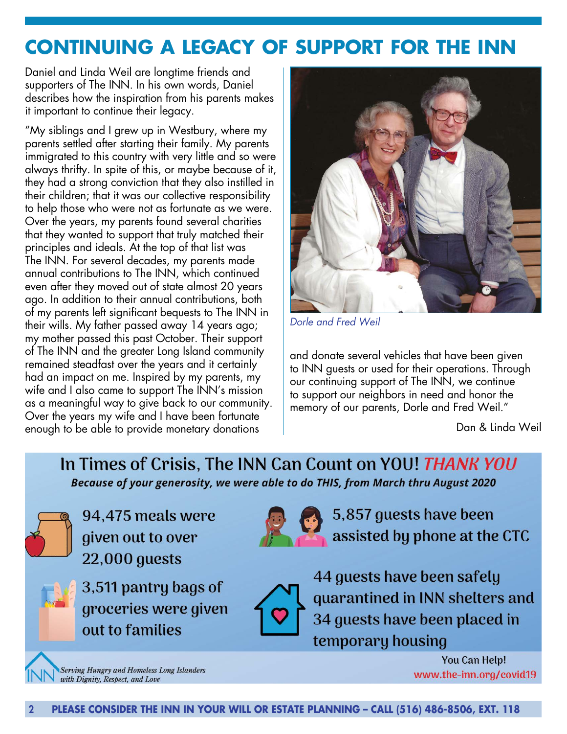# **CONTINUING A LEGACY OF SUPPORT FOR THE INN**

Daniel and Linda Weil are longtime friends and supporters of The INN. In his own words, Daniel describes how the inspiration from his parents makes it important to continue their legacy.

"My siblings and I grew up in Westbury, where my parents settled after starting their family. My parents immigrated to this country with very little and so were always thrifty. In spite of this, or maybe because of it, they had a strong conviction that they also instilled in their children; that it was our collective responsibility to help those who were not as fortunate as we were. Over the years, my parents found several charities that they wanted to support that truly matched their principles and ideals. At the top of that list was The INN. For several decades, my parents made annual contributions to The INN, which continued even after they moved out of state almost 20 years ago. In addition to their annual contributions, both of my parents left significant bequests to The INN in their wills. My father passed away 14 years ago; my mother passed this past October. Their support of The INN and the greater Long Island community remained steadfast over the years and it certainly had an impact on me. Inspired by my parents, my wife and I also came to support The INN's mission as a meaningful way to give back to our community. Over the years my wife and I have been fortunate enough to be able to provide monetary donations



*Dorle and Fred Weil*

and donate several vehicles that have been given to INN guests or used for their operations. Through our continuing support of The INN, we continue to support our neighbors in need and honor the memory of our parents, Dorle and Fred Weil."

Dan & Linda Weil

In Times of Crisis, The INN Can Count on YOU! THANK YOU Because of your generosity, we were able to do THIS, from March thru August 2020



94,475 meals were given out to over **22,000 guests** 





5,857 guests have been assisted by phone at the CTC



44 guests have been safely quarantined in INN shelters and 34 guests have been placed in temporary housing

**Serving Hungry and Homeless Long Islanders** with Dignity, Respect, and Love

You Can Help! www.the-inn.org/covid19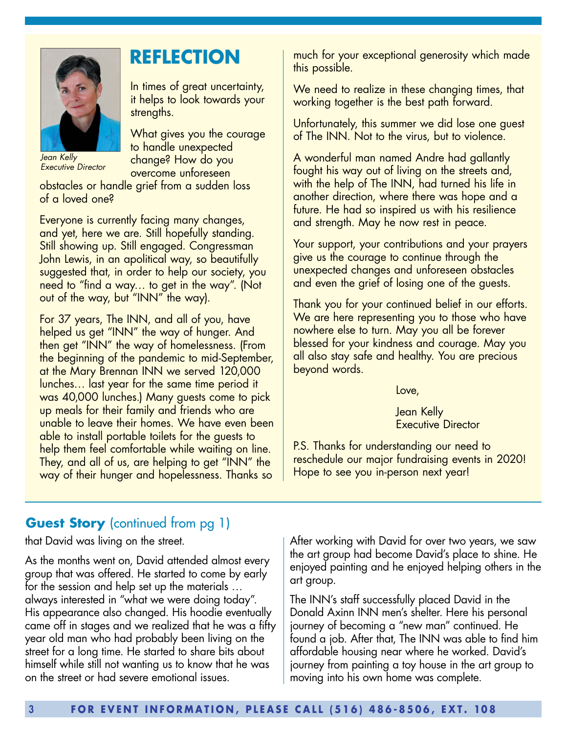

*Jean Kelly Executive Director* 

obstacles or handle grief from a sudden loss of a loved one?

strengths.

In times of great uncertainty, it helps to look towards your

What gives you the courage

to handle unexpected change? How do you overcome unforeseen

Everyone is currently facing many changes, and yet, here we are. Still hopefully standing. Still showing up. Still engaged. Congressman John Lewis, in an apolitical way, so beautifully suggested that, in order to help our society, you need to "find a way… to get in the way". (Not out of the way, but "INN" the way).

For 37 years, The INN, and all of you, have helped us get "INN" the way of hunger. And then get "INN" the way of homelessness. (From the beginning of the pandemic to mid-September, at the Mary Brennan INN we served 120,000 lunches… last year for the same time period it was 40,000 lunches.) Many guests come to pick up meals for their family and friends who are unable to leave their homes. We have even been able to install portable toilets for the guests to help them feel comfortable while waiting on line. They, and all of us, are helping to get "INN" the way of their hunger and hopelessness. Thanks so

**REFLECTION** much for your exceptional generosity which made this possible.

> We need to realize in these changing times, that working together is the best path forward.

> Unfortunately, this summer we did lose one guest of The INN. Not to the virus, but to violence.

A wonderful man named Andre had gallantly fought his way out of living on the streets and, with the help of The INN, had turned his life in another direction, where there was hope and a future. He had so inspired us with his resilience and strength. May he now rest in peace.

Your support, your contributions and your prayers give us the courage to continue through the unexpected changes and unforeseen obstacles and even the grief of losing one of the guests.

Thank you for your continued belief in our efforts. We are here representing you to those who have nowhere else to turn. May you all be forever blessed for your kindness and courage. May you all also stay safe and healthy. You are precious beyond words.

Love,

Jean Kelly Executive Director

P.S. Thanks for understanding our need to reschedule our major fundraising events in 2020! Hope to see you in-person next year!

## **Guest Story** (continued from pg 1)

that David was living on the street.

As the months went on, David attended almost every group that was offered. He started to come by early for the session and help set up the materials … always interested in "what we were doing today". His appearance also changed. His hoodie eventually came off in stages and we realized that he was a fifty year old man who had probably been living on the street for a long time. He started to share bits about himself while still not wanting us to know that he was on the street or had severe emotional issues.

After working with David for over two years, we saw the art group had become David's place to shine. He enjoyed painting and he enjoyed helping others in the art group.

The INN's staff successfully placed David in the Donald Axinn INN men's shelter. Here his personal journey of becoming a "new man" continued. He found a job. After that, The INN was able to find him affordable housing near where he worked. David's journey from painting a toy house in the art group to moving into his own home was complete.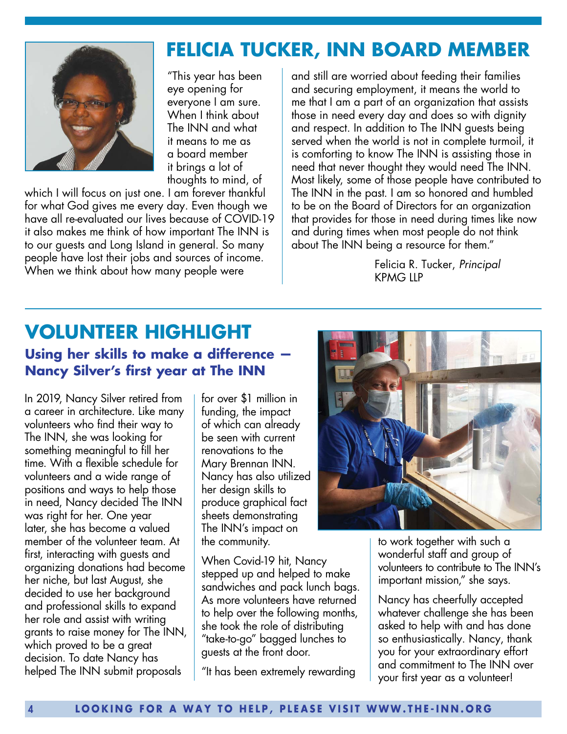

"This year has been eye opening for everyone I am sure. When I think about The INN and what it means to me as a board member it brings a lot of thoughts to mind, of

which I will focus on just one. I am forever thankful for what God gives me every day. Even though we have all re-evaluated our lives because of COVID-19 it also makes me think of how important The INN is to our guests and Long Island in general. So many people have lost their jobs and sources of income. When we think about how many people were

#### and still are worried about feeding their families and securing employment, it means the world to me that I am a part of an organization that assists those in need every day and does so with dignity and respect. In addition to The INN guests being served when the world is not in complete turmoil, it is comforting to know The INN is assisting those in need that never thought they would need The INN. Most likely, some of those people have contributed to The INN in the past. I am so honored and humbled to be on the Board of Directors for an organization that provides for those in need during times like now and during times when most people do not think about The INN being a resource for them."

**FELICIA TUCKER, INN BOARD MEMBER**

Felicia R. Tucker, *Principal* KPMG LLP

# **VOLUNTEER HIGHLIGHT Using her skills to make a difference — Nancy Silver's first year at The INN**

In 2019, Nancy Silver retired from a career in architecture. Like many volunteers who find their way to The INN, she was looking for something meaningful to fill her time. With a flexible schedule for volunteers and a wide range of positions and ways to help those in need, Nancy decided The INN was right for her. One year later, she has become a valued member of the volunteer team. At first, interacting with guests and organizing donations had become her niche, but last August, she decided to use her background and professional skills to expand her role and assist with writing grants to raise money for The INN, which proved to be a great decision. To date Nancy has helped The INN submit proposals

for over \$1 million in funding, the impact of which can already be seen with current renovations to the Mary Brennan INN. Nancy has also utilized her design skills to produce graphical fact sheets demonstrating The INN's impact on the community.

When Covid-19 hit, Nancy stepped up and helped to make sandwiches and pack lunch bags. As more volunteers have returned to help over the following months, she took the role of distributing "take-to-go" bagged lunches to guests at the front door.

"It has been extremely rewarding



to work together with such a wonderful staff and group of volunteers to contribute to The INN's important mission," she says.

Nancy has cheerfully accepted whatever challenge she has been asked to help with and has done so enthusiastically. Nancy, thank you for your extraordinary effort and commitment to The INN over your first year as a volunteer!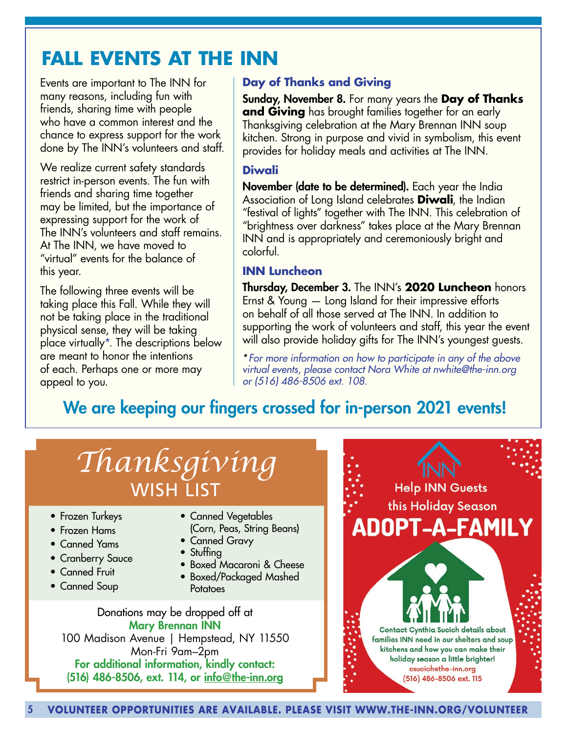# **FALL EVENTS AT THE INN**

Events are important to The INN for many reasons, including fun with friends, sharing time with people who have a common interest and the chance to express support for the work done by The INN's volunteers and staff.

We realize current safety standards restrict in-person events. The fun with friends and sharing time together may be limited, but the importance of expressing support for the work of The INN's volunteers and staff remains. At The INN, we have moved to "virtual" events for the balance of this year.

The following three events will be taking place this Fall. While they will not be taking place in the traditional physical sense, they will be taking place virtually\*. The descriptions below are meant to honor the intentions of each. Perhaps one or more may appeal to you.

## **Day of Thanks and Giving**

Sunday, November 8. For many years the **Day of Thanks and Giving** has brought families together for an early Thanksgiving celebration at the Mary Brennan INN soup kitchen. Strong in purpose and vivid in symbolism, this event provides for holiday meals and activities at The INN.

#### **Diwali**

November (date to be determined). Each year the India Association of Long Island celebrates **Diwali**, the Indian "festival of lights" together with The INN. This celebration of "brightness over darkness" takes place at the Mary Brennan INN and is appropriately and ceremoniously bright and colorful.

### **INN Luncheon**

Thursday, December 3. The INN's **2020 Luncheon** honors Ernst & Young — Long Island for their impressive efforts on behalf of all those served at The INN. In addition to supporting the work of volunteers and staff, this year the event will also provide holiday gifts for The INN's youngest guests.

*\* For more information on how to participate in any of the above virtual events, please contact Nora White at nwhite@the-inn.org or (516) 486-8506 ext. 108.*

# We are keeping our fingers crossed for in-person 2021 events!

# *Thanksgiving* WISH LIST

- Frozen Turkeys
- Frozen Hams
- Canned Yams
- Cranberry Sauce
- Canned Fruit
- Canned Soup
- Canned Vegetables (Corn, Peas, String Beans)
- Canned Gravy
- Stuffing
- Boxed Macaroni & Cheese
- Boxed/Packaged Mashed **Potatoes**

Donations may be dropped off at Mary Brennan INN 100 Madison Avenue | Hempstead, NY 11550 Mon-Fri 9am–2pm For additional information, kindly contact: (516) 486-8506, ext. 114, or info@the-inn.org

**Help INN Guests** this Holiday Season **ADOPT-A-FAMILY** 

> Contact Cynthia Sucich details about families INN need in our shelters and soup kitchens and how you can make their holiday season a little brighter! csucich@the-inn.org (516) 486-8506 ext. 115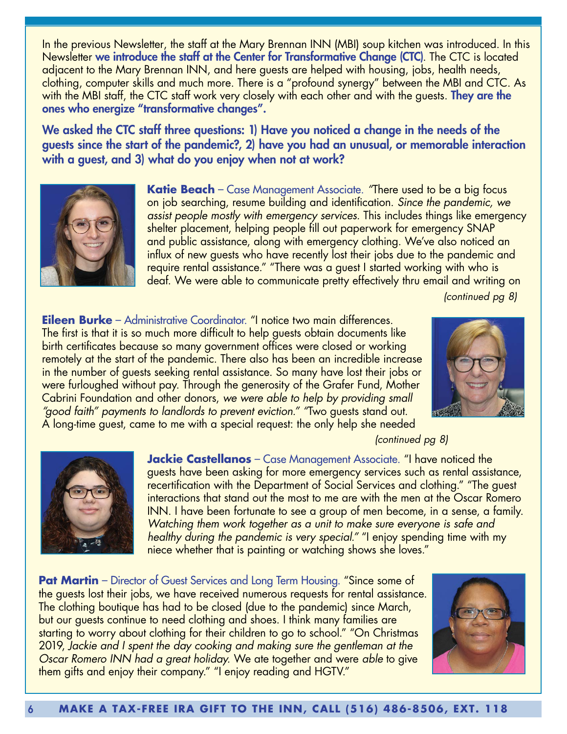In the previous Newsletter, the staff at the Mary Brennan INN (MBI) soup kitchen was introduced. In this Newsletter we introduce the staff at the Center for Transformative Change (CTC). The CTC is located adjacent to the Mary Brennan INN, and here guests are helped with housing, jobs, health needs, clothing, computer skills and much more. There is a "profound synergy" between the MBI and CTC. As with the MBI staff, the CTC staff work very closely with each other and with the guests. **They are the** ones who energize "transformative changes".

We asked the CTC staff three questions: 1) Have you noticed a change in the needs of the guests since the start of the pandemic?, 2) have you had an unusual, or memorable interaction with a guest, and 3) what do you enjoy when not at work?



**Katie Beach** – Case Management Associate. *"*There used to be a big focus on job searching, resume building and identification. *Since the pandemic, we assist people mostly with emergency services.* This includes things like emergency shelter placement, helping people fill out paperwork for emergency SNAP and public assistance, along with emergency clothing. We've also noticed an influx of new guests who have recently lost their jobs due to the pandemic and require rental assistance." "There was a guest I started working with who is deaf. We were able to communicate pretty effectively thru email and writing on

*(continued pg 8)*

**Eileen Burke** – Administrative Coordinator. "I notice two main differences. The first is that it is so much more difficult to help guests obtain documents like birth certificates because so many government offices were closed or working remotely at the start of the pandemic. There also has been an incredible increase in the number of guests seeking rental assistance. So many have lost their jobs or were furloughed without pay. Through the generosity of the Grafer Fund, Mother Cabrini Foundation and other donors, *we were able to help by providing small "good faith" payments to landlords to prevent eviction." "*Two guests stand out. A long-time guest, came to me with a special request: the only help she needed



*(continued pg 8)*



**Jackie Castellanos** – Case Management Associate. "I have noticed the guests have been asking for more emergency services such as rental assistance, recertification with the Department of Social Services and clothing." "The guest interactions that stand out the most to me are with the men at the Oscar Romero INN. I have been fortunate to see a group of men become, in a sense, a family. *Watching them work together as a unit to make sure everyone is safe and healthy during the pandemic is very special."* "I enjoy spending time with my niece whether that is painting or watching shows she loves."

**Pat Martin** – Director of Guest Services and Long Term Housing. "Since some of the guests lost their jobs, we have received numerous requests for rental assistance. The clothing boutique has had to be closed (due to the pandemic) since March, but our guests continue to need clothing and shoes. I think many families are starting to worry about clothing for their children to go to school." "On Christmas 2019, *Jackie and I spent the day cooking and making sure the gentleman at the Oscar Romero INN had a great holiday.* We ate together and were *able* to give them gifts and enjoy their company." "I enjoy reading and HGTV."

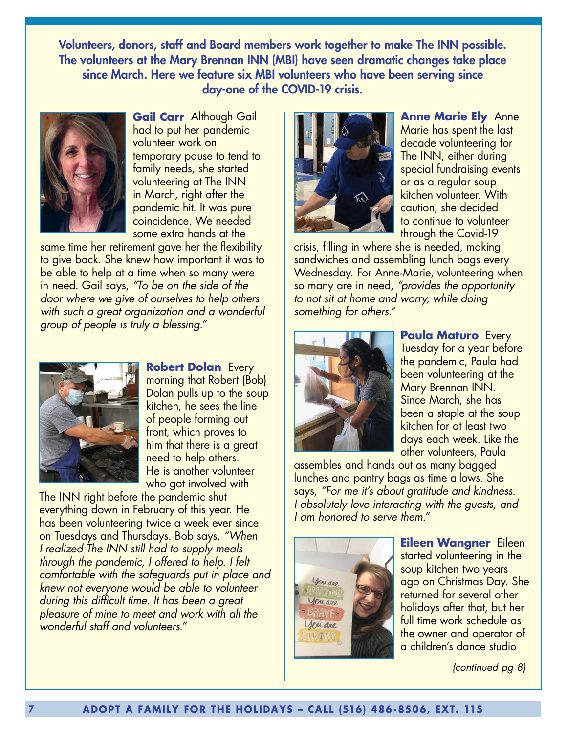Volunteers, donors, staff and Board members work together to make The INN possible. The volunteers at the Mary Brennan INN (MBI) have seen dramatic changes take place since March. Here we feature six MBI volunteers who have been serving since day-one of the COVID-19 crisis.



**Gail Carr** Although Gail had to put her pandemic volunteer work on temporary pause to tend to family needs, she started volunteering at The INN in March, right after the pandemic hit. It was pure coincidence. We needed some extra hands at the

same time her retirement gave her the flexibility to give back. She knew how important it was to be able to help at a time when so many were in need. Gail says, *"To be on the side of the door where we give of ourselves to help others with such a great organization and a wonderful group of people is truly a blessing."* 



**Robert Dolan** Every morning that Robert (Bob) Dolan pulls up to the soup kitchen, he sees the line of people forming out front, which proves to him that there is a great need to help others. He is another volunteer who got involved with

The INN right before the pandemic shut everything down in February of this year. He has been volunteering twice a week ever since on Tuesdays and Thursdays. Bob says, *"When I realized The INN still had to supply meals through the pandemic, I offered to help. I felt comfortable with the safeguards put in place and knew not everyone would be able to volunteer during this difficult time. It has been a great pleasure of mine to meet and work with all the wonderful staff and volunteers."* 



**Anne Marie Ely** Anne Marie has spent the last decade volunteering for The INN, either during special fundraising events or as a regular soup kitchen volunteer. With caution, she decided to continue to volunteer through the Covid-19

crisis, filling in where she is needed, making sandwiches and assembling lunch bags every Wednesday. For Anne-Marie, volunteering when so many are in need, *"provides the opportunity to not sit at home and worry, while doing something for others."*



**Paula Maturo** Every Tuesday for a year before the pandemic, Paula had been volunteering at the Mary Brennan INN. Since March, she has been a staple at the soup kitchen for at least two days each week. Like the other volunteers, Paula

assembles and hands out as many bagged lunches and pantry bags as time allows. She says, *"For me it's about gratitude and kindness. I absolutely love interacting with the guests, and I am honored to serve them."*



**Eileen Wangner** Eileen started volunteering in the soup kitchen two years ago on Christmas Day. She returned for several other holidays after that, but her full time work schedule as the owner and operator of a children's dance studio

*(continued pg 8)*